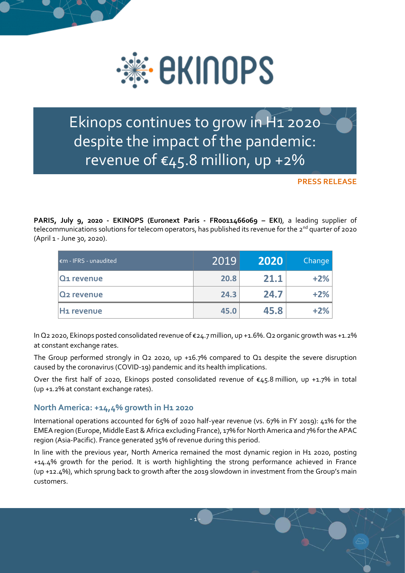

Ekinops continues to grow in H1 2020 despite the impact of the pandemic: revenue of €45.8 million, up +2%

**PRESS RELEASE**

**PARIS, July 9, 2020 - EKINOPS (Euronext Paris - FR0011466069 – EKI)**, a leading supplier of telecommunications solutions for telecom operators, has published its revenue for the 2<sup>nd</sup> quarter of 2020 (April 1 - June 30, 2020).

| $\epsilon$ m - IFRS - unaudited | 2019 | 2020 | <b>Change</b> |
|---------------------------------|------|------|---------------|
| <b>Q1</b> revenue               | 20.8 | 21.1 | $+2\%$        |
| <b>Q<sub>2</sub></b> revenue    | 24.3 | 24.7 | $+2\%$        |
| H1 revenue                      | 45.0 | 45.8 | $+2%$         |

In Q2 2020, Ekinops posted consolidated revenue of €24.7 million, up +1.6%. Q2 organic growth was +1.2% at constant exchange rates.

The Group performed strongly in Q2 2020, up +16.7% compared to Q1 despite the severe disruption caused by the coronavirus (COVID-19) pandemic and its health implications.

Over the first half of 2020, Ekinops posted consolidated revenue of €45.8 million, up +1.7% in total (up +1.2% at constant exchange rates).

## **North America: +14,4% growth in H1 2020**

International operations accounted for 65% of 2020 half-year revenue (vs. 67% in FY 2019): 41% for the EMEA region (Europe, Middle East & Africa excluding France), 17% for North America and 7% for the APAC region (Asia-Pacific). France generated 35% of revenue during this period.

In line with the previous year, North America remained the most dynamic region in H<sub>1</sub> 2020, posting +14.4% growth for the period. It is worth highlighting the strong performance achieved in France (up +12.4%), which sprung back to growth after the 2019 slowdown in investment from the Group's main customers.

- 1 -